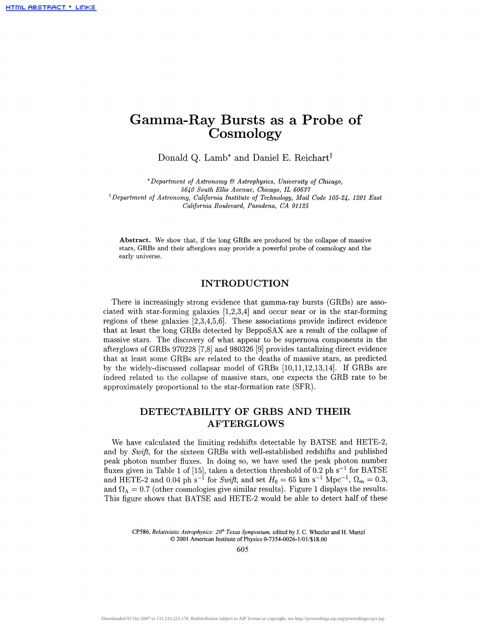# **Gamma-Ray Bursts as a Probe of Cosmology**

Donald Q. Lamb<sup>\*</sup> and Daniel E. Reichart<sup>†</sup>

\* *Department of Astronomy & Astrophysics, University of Chicago, 5640 South Ellis Avenue, Chicago, IL 60637 ^Department of Astronomy, California Institute of Technology, Mail Code 105-24, 1201 East California Boulevard, Pasadena, CA 91125*

**Abstract.** We show that, if the long GRBs are produced by the collapse of massive stars, GRBs and their afterglows may provide a powerful probe of cosmology and the early universe.

### **INTRODUCTION**

There is increasingly strong evidence that gamma-ray bursts (GRBs) are associated with star-forming galaxies [1,2,3,4] and occur near or in the star-forming regions of these galaxies [2,3,4,5,6]. These associations provide indirect evidence that at least the long GRBs detected by BeppoSAX are a result of the collapse of massive stars. The discovery of what appear to be supernova components in the afterglows of GRBs 970228 [7,8] and 980326 [9] provides tantalizing direct evidence that at least some GRBs are related to the deaths of massive stars, as predicted by the widely-discussed collapsar model of GRBs [10,11,12,13,14]. If GRBs are indeed related to the collapse of massive stars, one expects the GRB rate to be approximately proportional to the star-formation rate (SFR).

## **DETECTABILITY OF GRBS AND THEIR AFTERGLOWS**

We have calculated the limiting redshifts detectable by BATSE and HETE-2, and by *Swift,* for the sixteen GRBs with well-established redshifts and published peak photon number fluxes. In doing so, we have used the peak photon number fluxes given in Table 1 of [15], taken a detection threshold of  $0.2 \text{ ph s}^{-1}$  for BATSE and HETE-2 and 0.04 ph s<sup>-1</sup> for *Swift*, and set  $H_0 = 65$  km s<sup>-1</sup> Mpc<sup>-1</sup>,  $\Omega_m = 0.3$ , and  $\Omega_{\Lambda} = 0.7$  (other cosmologies give similar results). Figure 1 displays the results. This figure shows that BATSE and HETE-2 would be able to detect half of these

CP586, *Relativistic Astrophysics: 20th Texas Symposium,* edited by J. C. Wheeler and H. Martel © 2001 American Institute of Physics 0-7354-0026-1/01/\$18.00

605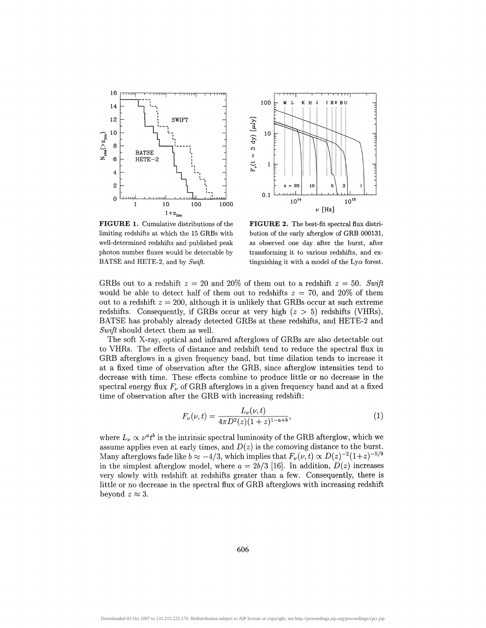



**FIGURE 1.** Cumulative distributions of the limiting redshifts at which the 15 GRBs with well-determined redshifts and published peak photon number fluxes would be detectable by BATSE and HETE-2, and by *Swift.*

**FIGURE 2.** The best-fit spectral flux distribution of the early afterglow of GRB 000131, as observed one day after the burst, after transforming it to various redshifts, and extinguishing it with a model of the  $Ly\alpha$  forest.

GRBs out to a redshift  $z = 20$  and  $20\%$  of them out to a redshift  $z = 50$ . Swift would be able to detect half of them out to redshifts *z =* 70, and 20% of them out to a redshift  $z = 200$ , although it is unlikely that GRBs occur at such extreme redshifts. Consequently, if GRBs occur at very high *(z >* 5) redshifts (VHRs), BATSE has probably already detected GRBs at these redshifts, and HETE-2 and *Swift* should detect them as well.

The soft X-ray, optical and infrared afterglows of GRBs are also detectable out to VHRs. The effects of distance and redshift tend to reduce the spectral flux in GRB afterglows in a given frequency band, but time dilation tends to increase it at a fixed time of observation after the GRB, since afterglow intensities tend to decrease with time. These effects combine to produce little or no decrease in the spectral energy flux  $F_\nu$  of GRB afterglows in a given frequency band and at a fixed time of observation after the GRB with increasing redshift:

$$
F_{\nu}(\nu, t) = \frac{L_{\nu}(\nu, t)}{4\pi D^2(z)(1+z)^{1-a+b}},\tag{1}
$$

where  $L_{\nu} \propto \nu^a t^b$  is the intrinsic spectral luminosity of the GRB afterglow, which we assume applies even at early times, and  $D(z)$  is the comoving distance to the burst. Many afterglows fade like  $b \approx -4/3$ , which implies that  $F_{\nu}(\nu, t) \propto D(z)^{-2}(1+z)^{-5/9}$ in the simplest afterglow model, where  $a = 2b/3$  [16]. In addition,  $D(z)$  increases very slowly with redshift at redshifts greater than a few. Consequently, there is little or no decrease in the spectral flux of GRB afterglows with increasing redshift beyond  $z \approx 3$ .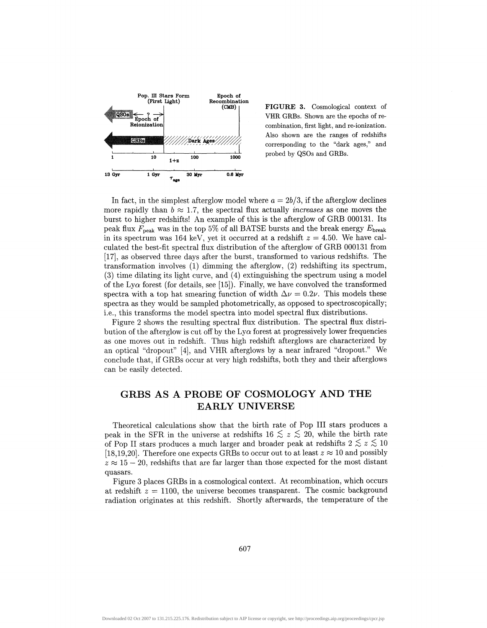

**FIGURE 3.** Cosmological context of VHR GRBs. Shown are the epochs of recombination, first light, and re-ionization. Also shown are the ranges of redshifts corresponding to the "dark ages," and probed by QSOs and GRBs.

In fact, in the simplest afterglow model where  $a = 2b/3$ , if the afterglow declines more rapidly than  $b \approx 1.7$ , the spectral flux actually *increases* as one moves the burst to higher redshifts! An example of this is the afterglow of GRB 000131. Its peak flux  $F_{\text{peak}}$  was in the top 5% of all BATSE bursts and the break energy  $E_{\text{break}}$ in its spectrum was 164 keV, yet it occurred at a redshift  $z = 4.50$ . We have calculated the best-fit spectral flux distribution of the afterglow of GRB 000131 from [17], as observed three days after the burst, transformed to various redshifts. The transformation involves (1) dimming the afterglow, (2) redshifting its spectrum, (3) time dilating its light curve, and (4) extinguishing the spectrum using a model of the Ly $\alpha$  forest (for details, see [15]). Finally, we have convolved the transformed spectra with a top hat smearing function of width  $\Delta \nu = 0.2\nu$ . This models these spectra as they would be sampled photometrically, as opposed to spectroscopically; i.e., this transforms the model spectra into model spectral flux distributions.

Figure 2 shows the resulting spectral flux distribution. The spectral flux distribution of the afterglow is cut off by the  $Ly\alpha$  forest at progressively lower frequencies as one moves out in redshift. Thus high redshift afterglows are characterized by an optical "dropout" [4], and VHR afterglows by a near infrared "dropout." We conclude that, if GRBs occur at very high redshifts, both they and their afterglows can be easily detected.

### **GRBS AS A PROBE OF COSMOLOGY AND THE EARLY UNIVERSE**

Theoretical calculations show that the birth rate of Pop III stars produces a peak in the SFR in the universe at redshifts  $16 \le z \le 20$ , while the birth rate of Pop II stars produces a much larger and broader peak at redshifts  $2 \leq z \leq 10$ [18,19,20]. Therefore one expects GRBs to occur out to at least  $z \approx 10$  and possibly  $z \approx 15 - 20$ , redshifts that are far larger than those expected for the most distant quasars.

Figure 3 places GRBs in a cosmological context. At recombination, which occurs at redshift  $z = 1100$ , the universe becomes transparent. The cosmic background radiation originates at this redshift. Shortly afterwards, the temperature of the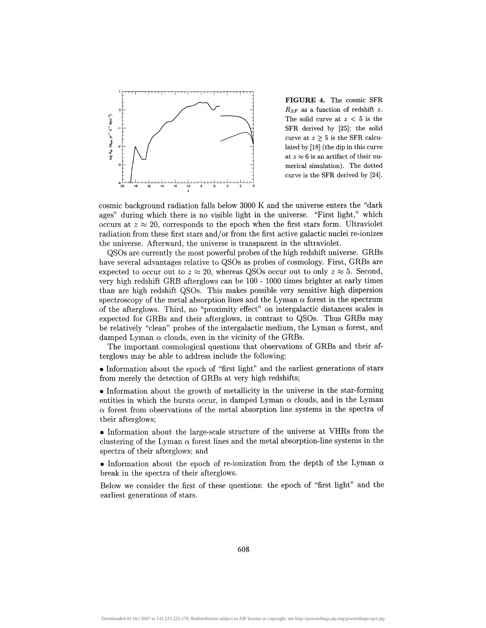

**FIGURE 4.** The cosmic SFR *RSF* as a function of redshift *z.* The solid curve at *z <* 5 is the SFR derived by [25]; the solid curve at  $z \geq 5$  is the SFR calculated by [18] (the dip in this curve at  $z \approx 6$  is an artifact of their numerical simulation). The dotted curve is the SFR derived by [24].

cosmic background radiation falls below 3000 K and the universe enters the "dark ages" during which there is no visible light in the universe. "First light," which occurs at  $z \approx 20$ , corresponds to the epoch when the first stars form. Ultraviolet radiation from these first stars and/or from the first active galactic nuclei re-ionizes the universe. Afterward, the universe is transparent in the ultraviolet.

QSOs are currently the most powerful probes of the high redshift universe. GRBs have several advantages relative to QSOs as probes of cosmology. First, GRBs are expected to occur out to  $z \approx 20$ , whereas QSOs occur out to only  $z \approx 5$ . Second, very high redshift GRB afterglows can be 100 - 1000 times brighter at early times than are high redshift QSOs. This makes possible very sensitive high dispersion spectroscopy of the metal absorption lines and the Lyman  $\alpha$  forest in the spectrum of the afterglows. Third, no "proximity effect" on intergalactic distances scales is expected for GRBs and their afterglows, in contrast to QSOs. Thus GRBs may be relatively "clean" probes of the intergalactic medium, the Lyman  $\alpha$  forest, and damped Lyman  $\alpha$  clouds, even in the vicinity of the GRBs.

The important cosmological questions that observations of GRBs and their afterglows may be able to address include the following:

• Information about the epoch of "first light" and the earliest generations of stars from merely the detection of GRBs at very high redshifts;

• Information about the growth of metallicity in the universe in the star-forming entities in which the bursts occur, in damped Lyman  $\alpha$  clouds, and in the Lyman  $\alpha$  forest from observations of the metal absorption line systems in the spectra of their afterglows;

• Information about the large-scale structure of the universe at VHRs from the clustering of the Lyman  $\alpha$  forest lines and the metal absorption-line systems in the spectra of their afterglows; and

• Information about the epoch of re-ionization from the depth of the Lyman  $\alpha$ break in the spectra of their afterglows.

Below we consider the first of these questions: the epoch of "first light" and the earliest generations of stars.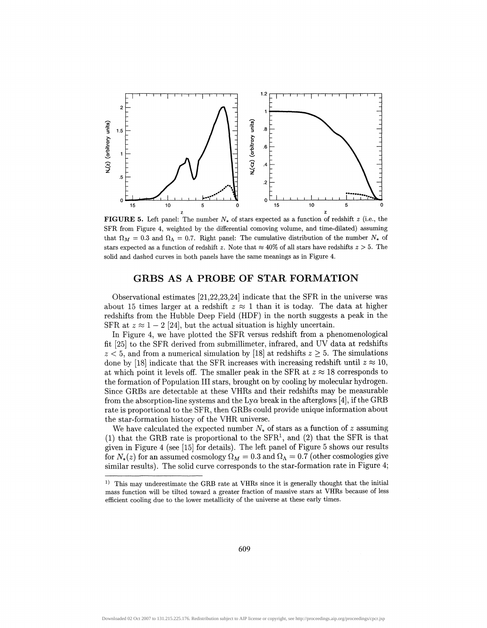

**FIGURE 5.** Left panel: The number  $N_*$  of stars expected as a function of redshift  $z$  (i.e., the SFR from Figure 4, weighted by the differential comoving volume, and time-dilated) assuming that  $\Omega_M = 0.3$  and  $\Omega_{\Lambda} = 0.7$ . Right panel: The cumulative distribution of the number  $N_*$  of stars expected as a function of redshift z. Note that  $\approx 40\%$  of all stars have redshifts  $z > 5$ . The solid and dashed curves in both panels have the same meanings as in Figure 4.

#### **GRBS AS A PROBE OF STAR FORMATION**

Observational estimates [21,22,23,24] indicate that the SFR in the universe was about 15 times larger at a redshift  $z \approx 1$  than it is today. The data at higher redshifts from the Hubble Deep Field (HDF) in the north suggests a peak in the SFR at  $z \approx 1 - 2$  [24], but the actual situation is highly uncertain.

In Figure 4, we have plotted the SFR versus redshift from a phenomenological fit [25] to the SFR derived from submillimeter, infrared, and UV data at redshifts  $z < 5$ , and from a numerical simulation by [18] at redshifts  $z \geq 5$ . The simulations done by [18] indicate that the SFR increases with increasing redshift until  $z \approx 10$ , at which point it levels off. The smaller peak in the SFR at  $z \approx 18$  corresponds to the formation of Population III stars, brought on by cooling by molecular hydrogen. Since GRBs are detectable at these VHRs and their redshifts may be measurable from the absorption-line systems and the  $Ly\alpha$  break in the afterglows [4], if the GRB rate is proportional to the SFR, then GRBs could provide unique information about the star-formation history of the VHR universe.

We have calculated the expected number  $N_*$  of stars as a function of z assuming (1) that the GRB rate is proportional to the  $SFR<sup>1</sup>$ , and (2) that the SFR is that given in Figure 4 (see [15] for details). The left panel of Figure 5 shows our results for  $N_*(z)$  for an assumed cosmology  $\Omega_M = 0.3$  and  $\Omega_{\Lambda} = 0.7$  (other cosmologies give similar results). The solid curve corresponds to the star-formation rate in Figure 4;

<sup>&</sup>lt;sup>1)</sup> This may underestimate the GRB rate at VHRs since it is generally thought that the initial mass function will be tilted toward a greater fraction of massive stars at VHRs because of less efficient cooling due to the lower metallicity of the universe at these early times.